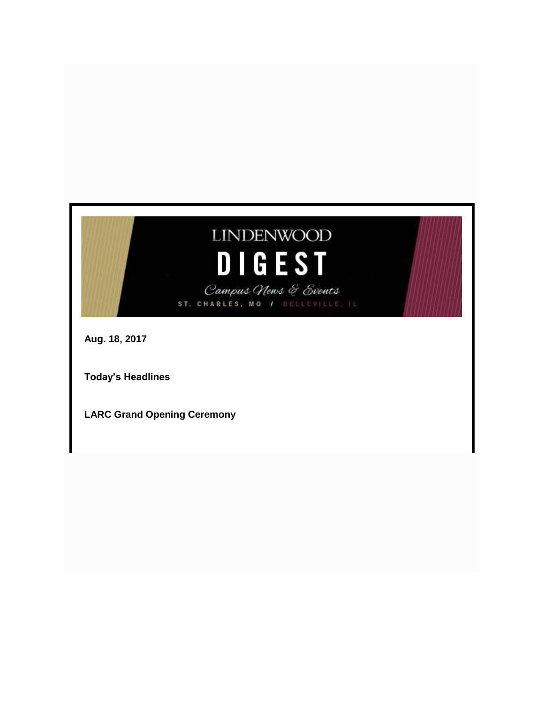# **LINDENWOOD DIGEST**

Campus News & Events ST. CHARLES, MO / BELLEVILLE, IL

**Aug. 18, 2017**

**Today's Headlines**

**LARC Grand Opening Ceremony**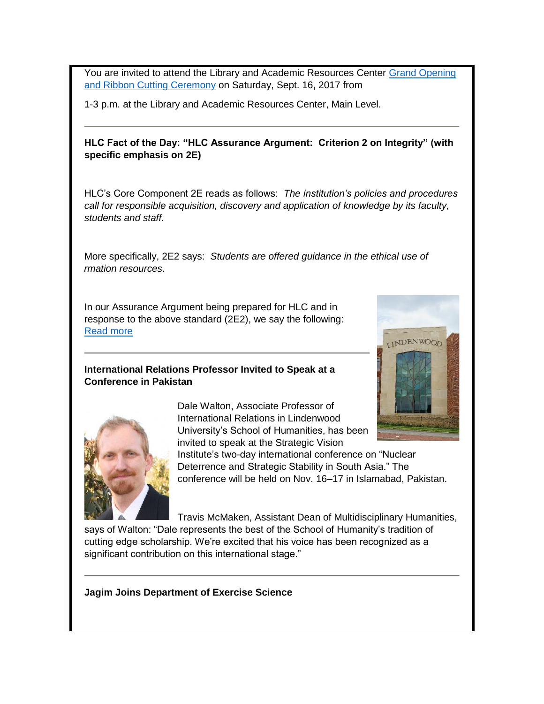You are invited to attend the Library and Academic Resources Center Grand Opening [and Ribbon Cutting Ceremony](http://felix.lindenwood.edu/newsletter/2017_08/larc_invitation.pdf) on Saturday, Sept. 16**,** 2017 from

1-3 p.m. at the Library and Academic Resources Center, Main Level.

#### **HLC Fact of the Day: "HLC Assurance Argument: Criterion 2 on Integrity" (with specific emphasis on 2E)**

HLC's Core Component 2E reads as follows: *The institution's policies and procedures call for responsible acquisition, discovery and application of knowledge by its faculty, students and staff.*

More specifically, 2E2 says: *Students are offered guidance in the ethical use of information resources*.

In our Assurance Argument being prepared for HLC and in response to the above standard (2E2), we say the following: [Read more](http://felix.lindenwood.edu/newsletter/2017_08/fact_aug18.pdf)

# **International Relations Professor Invited to Speak at a Conference in Pakistan**





Dale Walton, Associate Professor of International Relations in Lindenwood University's School of Humanities, has been invited to speak at the Strategic Vision

Institute's two-day international conference on "Nuclear Deterrence and Strategic Stability in South Asia." The conference will be held on Nov. 16–17 in Islamabad, Pakistan.

Travis McMaken, Assistant Dean of Multidisciplinary Humanities, says of Walton: "Dale represents the best of the School of Humanity's tradition of cutting edge scholarship. We're excited that his voice has been recognized as a significant contribution on this international stage."

**Jagim Joins Department of Exercise Science**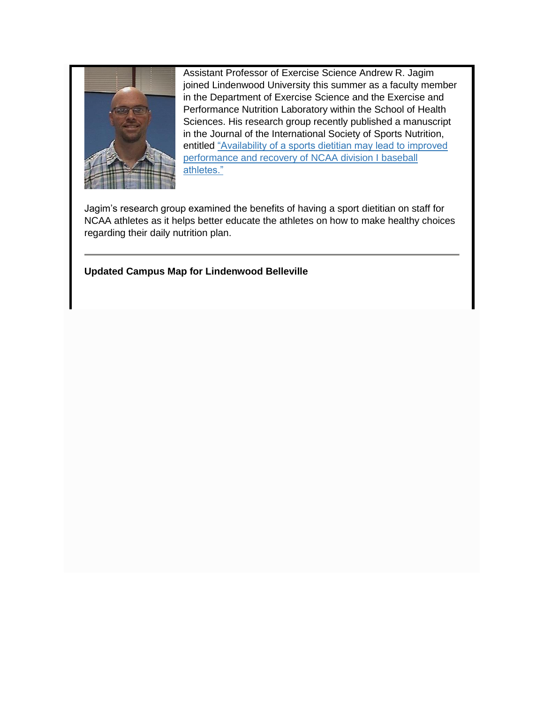

Assistant Professor of Exercise Science Andrew R. Jagim joined Lindenwood University this summer as a faculty member in the Department of Exercise Science and the Exercise and Performance Nutrition Laboratory within the School of Health Sciences. His research group recently published a manuscript in the Journal of the International Society of Sports Nutrition, entitled ["Availability of a sports dietitian may lead to improved](https://jissn.biomedcentral.com/articles/10.1186/s12970-017-0187-6)  [performance and recovery of NCAA division I baseball](https://jissn.biomedcentral.com/articles/10.1186/s12970-017-0187-6)  [athletes."](https://jissn.biomedcentral.com/articles/10.1186/s12970-017-0187-6)

Jagim's research group examined the benefits of having a sport dietitian on staff for NCAA athletes as it helps better educate the athletes on how to make healthy choices regarding their daily nutrition plan.

**Updated Campus Map for Lindenwood Belleville**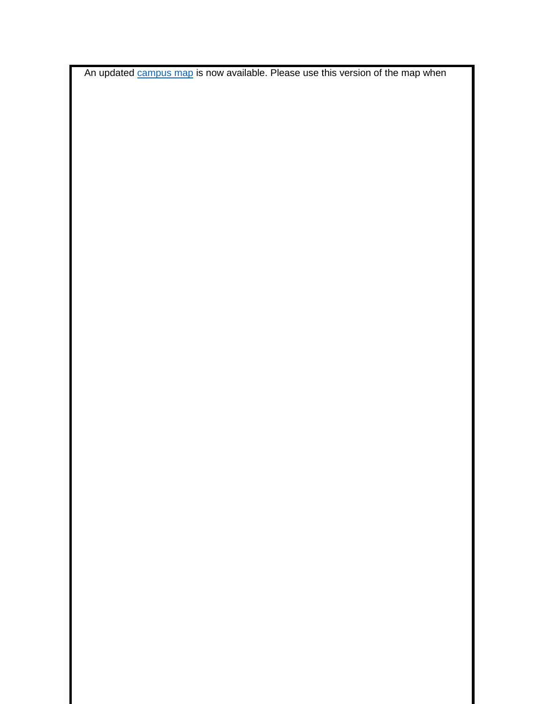An updated [campus map](http://www.lindenwood.edu/belleville/about/our-campus/campus-map/) is now available. Please use this version of the map when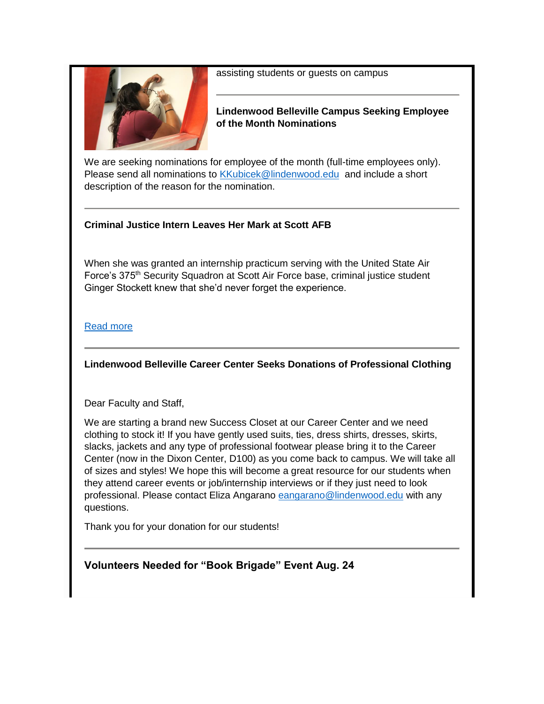

assisting students or guests on campus

#### **Lindenwood Belleville Campus Seeking Employee of the Month Nominations**

We are seeking nominations for employee of the month (full-time employees only). Please send all nominations to [KKubicek@lindenwood.edu](mailto:KKubicek@lindenwood.edu) and include a short description of the reason for the nomination.

# **Criminal Justice Intern Leaves Her Mark at Scott AFB**

When she was granted an internship practicum serving with the United State Air Force's 375<sup>th</sup> Security Squadron at Scott Air Force base, criminal justice student Ginger Stockett knew that she'd never forget the experience.

#### [Read more](http://www.lindenwood.edu/belleville/about/news/details/criminal-justice-intern-leaves-her-mark-at-scott-afb/)

# **Lindenwood Belleville Career Center Seeks Donations of Professional Clothing**

Dear Faculty and Staff,

We are starting a brand new Success Closet at our Career Center and we need clothing to stock it! If you have gently used suits, ties, dress shirts, dresses, skirts, slacks, jackets and any type of professional footwear please bring it to the Career Center (now in the Dixon Center, D100) as you come back to campus. We will take all of sizes and styles! We hope this will become a great resource for our students when they attend career events or job/internship interviews or if they just need to look professional. Please contact Eliza Angarano [eangarano@lindenwood.edu](mailto:eangarano@lindenwood.edu) with any questions.

Thank you for your donation for our students!

# **Volunteers Needed for "Book Brigade" Event Aug. 24**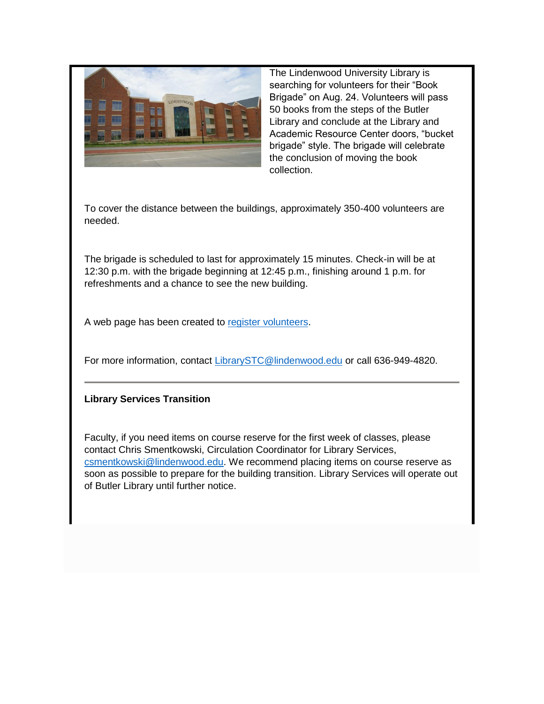

The Lindenwood University Library is searching for volunteers for their "Book Brigade" on Aug. 24. Volunteers will pass 50 books from the steps of the Butler Library and conclude at the Library and Academic Resource Center doors, "bucket brigade" style. The brigade will celebrate the conclusion of moving the book collection.

To cover the distance between the buildings, approximately 350-400 volunteers are needed.

The brigade is scheduled to last for approximately 15 minutes. Check-in will be at 12:30 p.m. with the brigade beginning at 12:45 p.m., finishing around 1 p.m. for refreshments and a chance to see the new building.

A web page has been created to [register volunteers.](https://training.lindenweb.us/events/butler-library-book-brigade/)

For more information, contact [LibrarySTC@lindenwood.edu](mailto:LibrarySTC@lindenwood.edu) or call 636-949-4820.

#### **Library Services Transition**

Faculty, if you need items on course reserve for the first week of classes, please contact Chris Smentkowski, Circulation Coordinator for Library Services, [csmentkowski@lindenwood.edu.](mailto:csmentkowski@lindenwood.edu) We recommend placing items on course reserve as soon as possible to prepare for the building transition. Library Services will operate out of Butler Library until further notice.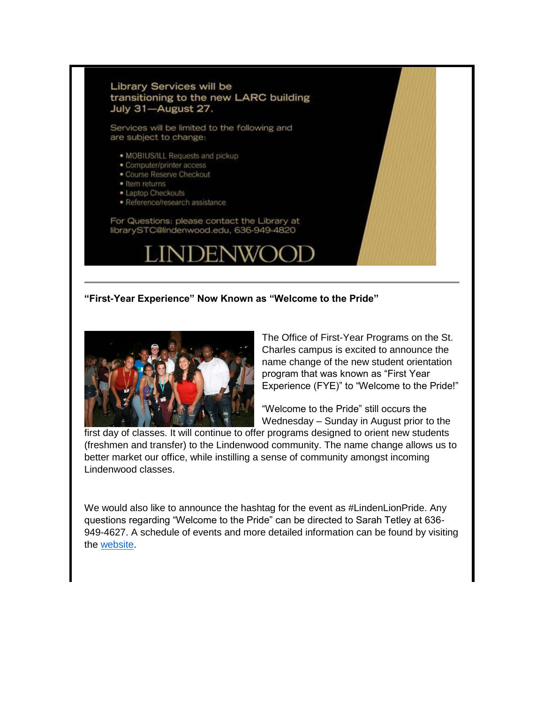#### Library Services will be transitioning to the new LARC building July 31-August 27.

Services will be limited to the following and are subject to change:

- . MOBIUS/ILL Requests and pickup
- · Computer/printer access
- · Course Reserve Checkout
- · Item returns
- · Laptop Checkouts · Reference/research assistance

For Questions: please contact the Library at librarySTC@lindenwood.edu, 636-949-4820

#### **"First-Year Experience" Now Known as "Welcome to the Pride"**



The Office of First-Year Programs on the St. Charles campus is excited to announce the name change of the new student orientation program that was known as "First Year Experience (FYE)" to "Welcome to the Pride!"

"Welcome to the Pride" still occurs the Wednesday – Sunday in August prior to the

first day of classes. It will continue to offer programs designed to orient new students (freshmen and transfer) to the Lindenwood community. The name change allows us to better market our office, while instilling a sense of community amongst incoming Lindenwood classes.

We would also like to announce the hashtag for the event as #LindenLionPride. Any questions regarding "Welcome to the Pride" can be directed to Sarah Tetley at 636- 949-4627. A schedule of events and more detailed information can be found by visiting the [website.](http://www.lindenwood.edu/academics/support-resources/first-year-programs/new-student-orientation/)